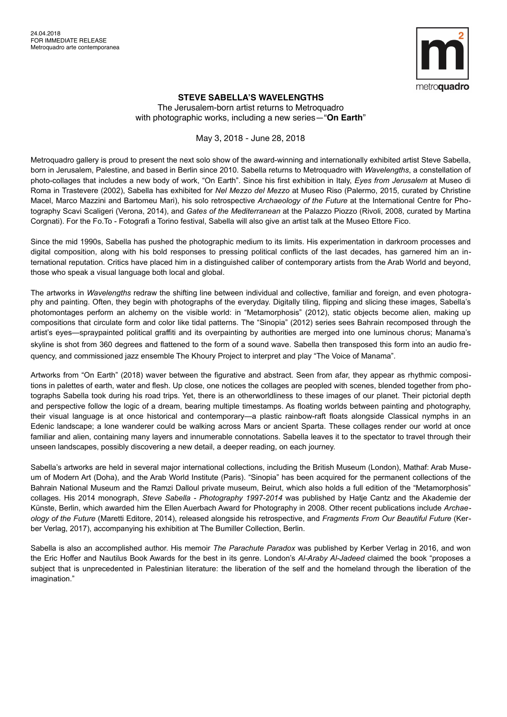

## **STEVE SABELLA'S WAVELENGTHS**

The Jerusalem-born artist returns to Metroquadro with photographic works, including a new series—"**On Earth**"

## May 3, 2018 - June 28, 2018

Metroquadro gallery is proud to present the next solo show of the award-winning and internationally exhibited artist Steve Sabella, born in Jerusalem, Palestine, and based in Berlin since 2010. Sabella returns to Metroquadro with *Wavelengths*, a constellation of photo-collages that includes a new body of work, "On Earth". Since his first exhibition in Italy, *Eyes from Jerusalem* at Museo di Roma in Trastevere (2002), Sabella has exhibited for *Nel Mezzo del Mezzo* at Museo Riso (Palermo, 2015, curated by Christine Macel, Marco Mazzini and Bartomeu Mari), his solo retrospective *Archaeology of the Future* at the International Centre for Photography Scavi Scaligeri (Verona, 2014), and *Gates of the Mediterranean* at the Palazzo Piozzo (Rivoli, 2008, curated by Martina Corgnati). For the Fo.To - Fotografi a Torino festival, Sabella will also give an artist talk at the Museo Ettore Fico.

Since the mid 1990s, Sabella has pushed the photographic medium to its limits. His experimentation in darkroom processes and digital composition, along with his bold responses to pressing political conflicts of the last decades, has garnered him an international reputation. Critics have placed him in a distinguished caliber of contemporary artists from the Arab World and beyond, those who speak a visual language both local and global.

The artworks in *Wavelengths* redraw the shifting line between individual and collective, familiar and foreign, and even photography and painting. Often, they begin with photographs of the everyday. Digitally tiling, flipping and slicing these images, Sabella's photomontages perform an alchemy on the visible world: in "Metamorphosis" (2012), static objects become alien, making up compositions that circulate form and color like tidal patterns. The "Sinopia" (2012) series sees Bahrain recomposed through the artist's eyes—spraypainted political graffiti and its overpainting by authorities are merged into one luminous chorus; Manama's skyline is shot from 360 degrees and flattened to the form of a sound wave. Sabella then transposed this form into an audio frequency, and commissioned jazz ensemble The Khoury Project to interpret and play "The Voice of Manama".

Artworks from "On Earth" (2018) waver between the figurative and abstract. Seen from afar, they appear as rhythmic compositions in palettes of earth, water and flesh. Up close, one notices the collages are peopled with scenes, blended together from photographs Sabella took during his road trips. Yet, there is an otherworldliness to these images of our planet. Their pictorial depth and perspective follow the logic of a dream, bearing multiple timestamps. As floating worlds between painting and photography, their visual language is at once historical and contemporary—a plastic rainbow-raft floats alongside Classical nymphs in an Edenic landscape; a lone wanderer could be walking across Mars or ancient Sparta. These collages render our world at once familiar and alien, containing many layers and innumerable connotations. Sabella leaves it to the spectator to travel through their unseen landscapes, possibly discovering a new detail, a deeper reading, on each journey.

Sabella's artworks are held in several major international collections, including the British Museum (London), Mathaf: Arab Museum of Modern Art (Doha), and the Arab World Institute (Paris). "Sinopia" has been acquired for the permanent collections of the Bahrain National Museum and the Ramzi Dalloul private museum, Beirut, which also holds a full edition of the "Metamorphosis" collages. His 2014 monograph, *Steve Sabella - Photography 1997-2014* was published by Hatje Cantz and the Akademie der Künste, Berlin, which awarded him the Ellen Auerbach Award for Photography in 2008. Other recent publications include *Archaeology of the Future* (Maretti Editore, 2014), released alongside his retrospective, and *Fragments From Our Beautiful Future* (Kerber Verlag, 2017), accompanying his exhibition at The Bumiller Collection, Berlin.

Sabella is also an accomplished author. His memoir *The Parachute Paradox* was published by Kerber Verlag in 2016, and won the Eric Hoffer and Nautilus Book Awards for the best in its genre. London's *Al-Araby Al-Jadeed* claimed the book "proposes a subject that is unprecedented in Palestinian literature: the liberation of the self and the homeland through the liberation of the imagination."